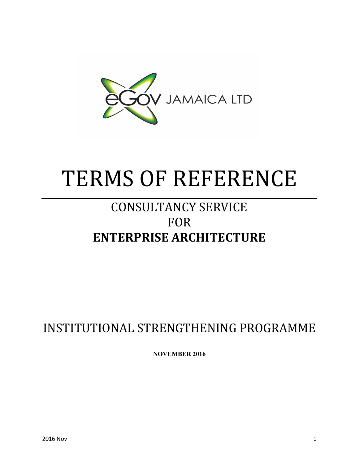

# TERMS OF REFERENCE

# CONSULTANCY SERVICE FOR **ENTERPRISE ARCHITECTURE**

# INSTITUTIONAL STRENGTHENING PROGRAMME

**NOVEMBER 2016**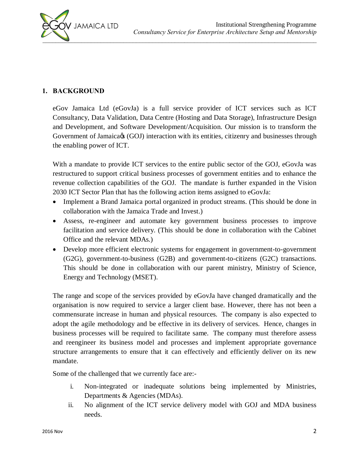

#### **1. BACKGROUND**

eGov Jamaica Ltd (eGovJa) is a full service provider of ICT services such as ICT Consultancy, Data Validation, Data Centre (Hosting and Data Storage), Infrastructure Design and Development, and Software Development/Acquisition. Our mission is to transform the Government of Jamaica $\alpha$  (GOJ) interaction with its entities, citizenry and businesses through the enabling power of ICT.

With a mandate to provide ICT services to the entire public sector of the GOJ, eGovJa was restructured to support critical business processes of government entities and to enhance the revenue collection capabilities of the GOJ. The mandate is further expanded in the Vision 2030 ICT Sector Plan that has the following action items assigned to eGovJa:

- Implement a Brand Jamaica portal organized in product streams. (This should be done in collaboration with the Jamaica Trade and Invest.)
- · Assess, re-engineer and automate key government business processes to improve facilitation and service delivery. (This should be done in collaboration with the Cabinet Office and the relevant MDAs.)
- · Develop more efficient electronic systems for engagement in government-to-government (G2G), government-to-business (G2B) and government-to-citizens (G2C) transactions. This should be done in collaboration with our parent ministry, Ministry of Science, Energy and Technology (MSET).

The range and scope of the services provided by eGovJa have changed dramatically and the organisation is now required to service a larger client base. However, there has not been a commensurate increase in human and physical resources. The company is also expected to adopt the agile methodology and be effective in its delivery of services. Hence, changes in business processes will be required to facilitate same. The company must therefore assess and reengineer its business model and processes and implement appropriate governance structure arrangements to ensure that it can effectively and efficiently deliver on its new mandate.

Some of the challenged that we currently face are:-

- i. Non-integrated or inadequate solutions being implemented by Ministries, Departments & Agencies (MDAs).
- ii. No alignment of the ICT service delivery model with GOJ and MDA business needs.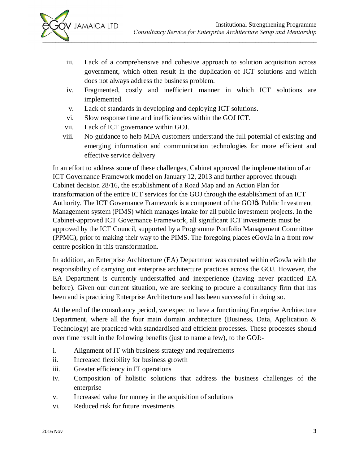

- iii. Lack of a comprehensive and cohesive approach to solution acquisition across government, which often result in the duplication of ICT solutions and which does not always address the business problem.
- iv. Fragmented, costly and inefficient manner in which ICT solutions are implemented.
- v. Lack of standards in developing and deploying ICT solutions.
- vi. Slow response time and inefficiencies within the GOJ ICT.
- vii. Lack of ICT governance within GOJ.
- viii. No guidance to help MDA customers understand the full potential of existing and emerging information and communication technologies for more efficient and effective service delivery

In an effort to address some of these challenges, Cabinet approved the implementation of an ICT Governance Framework model on January 12, 2013 and further approved through Cabinet decision 28/16, the establishment of a Road Map and an Action Plan for transformation of the entire ICT services for the GOJ through the establishment of an ICT Authority. The ICT Governance Framework is a component of the GOJ& Public Investment Management system (PIMS) which manages intake for all public investment projects. In the Cabinet-approved ICT Governance Framework, all significant ICT investments must be approved by the ICT Council, supported by a Programme Portfolio Management Committee (PPMC), prior to making their way to the PIMS. The foregoing places eGovJa in a front row centre position in this transformation.

In addition, an Enterprise Architecture (EA) Department was created within eGovJa with the responsibility of carrying out enterprise architecture practices across the GOJ. However, the EA Department is currently understaffed and inexperience (having never practiced EA before). Given our current situation, we are seeking to procure a consultancy firm that has been and is practicing Enterprise Architecture and has been successful in doing so.

At the end of the consultancy period, we expect to have a functioning Enterprise Architecture Department, where all the four main domain architecture (Business, Data, Application & Technology) are practiced with standardised and efficient processes. These processes should over time result in the following benefits (just to name a few), to the GOJ:-

- i. Alignment of IT with business strategy and requirements
- ii. Increased flexibility for business growth
- iii. Greater efficiency in IT operations
- iv. Composition of holistic solutions that address the business challenges of the enterprise
- v. Increased value for money in the acquisition of solutions
- vi. Reduced risk for future investments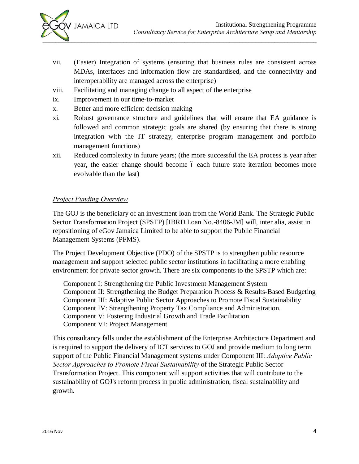- vii. (Easier) Integration of systems (ensuring that business rules are consistent across MDAs, interfaces and information flow are standardised, and the connectivity and interoperability are managed across the enterprise)
- viii. Facilitating and managing change to all aspect of the enterprise
- ix. Improvement in our time-to-market
- x. Better and more efficient decision making
- xi. Robust governance structure and guidelines that will ensure that EA guidance is followed and common strategic goals are shared (by ensuring that there is strong integration with the IT strategy, enterprise program management and portfolio management functions)
- xii. Reduced complexity in future years; (the more successful the EA process is year after year, the easier change should become 6 each future state iteration becomes more evolvable than the last)

#### *Project Funding Overview*

The GOJ is the beneficiary of an investment loan from the World Bank. The Strategic Public Sector Transformation Project (SPSTP) [IBRD Loan No.-8406-JM] will, inter alia, assist in repositioning of eGov Jamaica Limited to be able to support the Public Financial Management Systems (PFMS).

The Project Development Objective (PDO) of the SPSTP is to strengthen public resource management and support selected public sector institutions in facilitating a more enabling environment for private sector growth. There are six components to the SPSTP which are:

Component I: Strengthening the Public Investment Management System Component II: Strengthening the Budget Preparation Process & Results-Based Budgeting Component III: Adaptive Public Sector Approaches to Promote Fiscal Sustainability Component IV: Strengthening Property Tax Compliance and Administration. Component V: Fostering Industrial Growth and Trade Facilitation Component VI: Project Management

This consultancy falls under the establishment of the Enterprise Architecture Department and is required to support the delivery of ICT services to GOJ and provide medium to long term support of the Public Financial Management systems under Component III: *Adaptive Public Sector Approaches to Promote Fiscal Sustainability* of the Strategic Public Sector Transformation Project. This component will support activities that will contribute to the sustainability of GOJ's reform process in public administration, fiscal sustainability and growth.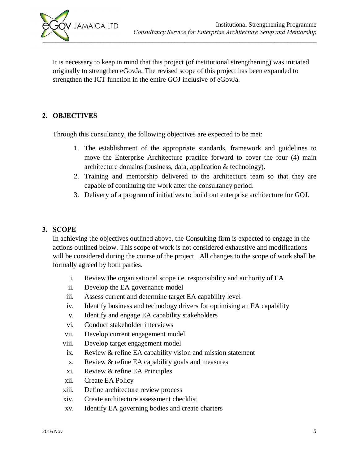

It is necessary to keep in mind that this project (of institutional strengthening) was initiated originally to strengthen eGovJa. The revised scope of this project has been expanded to strengthen the ICT function in the entire GOJ inclusive of eGovJa.

#### **2. OBJECTIVES**

Through this consultancy, the following objectives are expected to be met:

- 1. The establishment of the appropriate standards, framework and guidelines to move the Enterprise Architecture practice forward to cover the four (4) main architecture domains (business, data, application & technology).
- 2. Training and mentorship delivered to the architecture team so that they are capable of continuing the work after the consultancy period.
- 3. Delivery of a program of initiatives to build out enterprise architecture for GOJ.

#### **3. SCOPE**

In achieving the objectives outlined above, the Consulting firm is expected to engage in the actions outlined below. This scope of work is not considered exhaustive and modifications will be considered during the course of the project. All changes to the scope of work shall be formally agreed by both parties.

- i. Review the organisational scope i.e. responsibility and authority of EA
- ii. Develop the EA governance model
- iii. Assess current and determine target EA capability level
- iv. Identify business and technology drivers for optimising an EA capability
- v. Identify and engage EA capability stakeholders
- vi. Conduct stakeholder interviews
- vii. Develop current engagement model
- viii. Develop target engagement model
- ix. Review & refine EA capability vision and mission statement
- x. Review & refine EA capability goals and measures
- xi. Review & refine EA Principles
- xii. Create EA Policy
- xiii. Define architecture review process
- xiv. Create architecture assessment checklist
- xv. Identify EA governing bodies and create charters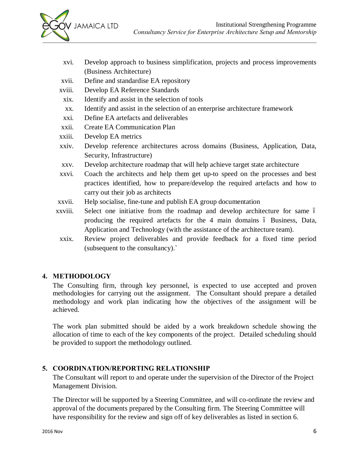- xvi. Develop approach to business simplification, projects and process improvements (Business Architecture)
- xvii. Define and standardise EA repository
- xviii. Develop EA Reference Standards
- xix. Identify and assist in the selection of tools
- xx. Identify and assist in the selection of an enterprise architecture framework
- xxi. Define EA artefacts and deliverables
- xxii. Create EA Communication Plan
- xxiii. Develop EA metrics
- xxiv. Develop reference architectures across domains (Business, Application, Data, Security, Infrastructure)
- xxv. Develop architecture roadmap that will help achieve target state architecture
- xxvi. Coach the architects and help them get up-to speed on the processes and best practices identified, how to prepare/develop the required artefacts and how to carry out their job as architects
- xxvii. Help socialise, fine-tune and publish EA group documentation
- xxviii. Select one initiative from the roadmap and develop architecture for same 6 producing the required artefacts for the 4 main domains 6 Business, Data, Application and Technology (with the assistance of the architecture team).
- xxix. Review project deliverables and provide feedback for a fixed time period (subsequent to the consultancy).`

## **4. METHODOLOGY**

The Consulting firm, through key personnel, is expected to use accepted and proven methodologies for carrying out the assignment. The Consultant should prepare a detailed methodology and work plan indicating how the objectives of the assignment will be achieved.

The work plan submitted should be aided by a work breakdown schedule showing the allocation of time to each of the key components of the project. Detailed scheduling should be provided to support the methodology outlined.

## **5. COORDINATION/REPORTING RELATIONSHIP**

The Consultant will report to and operate under the supervision of the Director of the Project Management Division.

The Director will be supported by a Steering Committee, and will co-ordinate the review and approval of the documents prepared by the Consulting firm. The Steering Committee will have responsibility for the review and sign off of key deliverables as listed in section 6.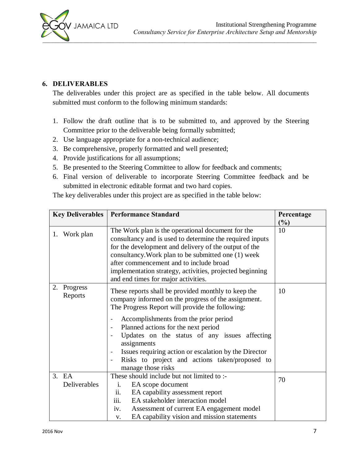

#### **6. DELIVERABLES**

The deliverables under this project are as specified in the table below. All documents submitted must conform to the following minimum standards:

- 1. Follow the draft outline that is to be submitted to, and approved by the Steering Committee prior to the deliverable being formally submitted;
- 2. Use language appropriate for a non-technical audience;
- 3. Be comprehensive, properly formatted and well presented;
- 4. Provide justifications for all assumptions;
- 5. Be presented to the Steering Committee to allow for feedback and comments;
- 6. Final version of deliverable to incorporate Steering Committee feedback and be submitted in electronic editable format and two hard copies.

| <b>Key Deliverables</b>   | <b>Performance Standard</b>                                                                                                                                                                                                                                                                                                                                                                                                                    | Percentage<br>(%) |
|---------------------------|------------------------------------------------------------------------------------------------------------------------------------------------------------------------------------------------------------------------------------------------------------------------------------------------------------------------------------------------------------------------------------------------------------------------------------------------|-------------------|
| 1. Work plan              | The Work plan is the operational document for the<br>consultancy and is used to determine the required inputs<br>for the development and delivery of the output of the<br>consultancy. Work plan to be submitted one (1) week<br>after commencement and to include broad<br>implementation strategy, activities, projected beginning<br>and end times for major activities.                                                                    | 10                |
| 2.<br>Progress<br>Reports | These reports shall be provided monthly to keep the<br>company informed on the progress of the assignment.<br>The Progress Report will provide the following:<br>Accomplishments from the prior period<br>Planned actions for the next period<br>Updates on the status of any issues affecting<br>assignments<br>Issues requiring action or escalation by the Director<br>Risks to project and actions taken/proposed to<br>manage those risks | 10                |
| 3.<br>EA<br>Deliverables  | These should include but not limited to :-<br>EA scope document<br>1.<br>EA capability assessment report<br>ii.<br>iii.<br>EA stakeholder interaction model<br>Assessment of current EA engagement model<br>iv.<br>EA capability vision and mission statements<br>V.                                                                                                                                                                           | 70                |

The key deliverables under this project are as specified in the table below: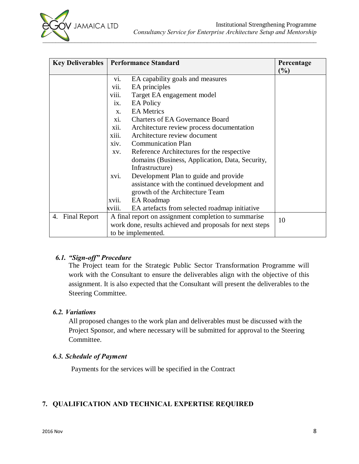| <b>Key Deliverables   Performance Standard</b> |                                                          |                                                      | Percentage<br>(%) |
|------------------------------------------------|----------------------------------------------------------|------------------------------------------------------|-------------------|
|                                                | V1.                                                      | EA capability goals and measures                     |                   |
|                                                | vii.                                                     | EA principles                                        |                   |
|                                                | viii.                                                    | Target EA engagement model                           |                   |
|                                                | $\overline{1}X$ .                                        | <b>EA Policy</b>                                     |                   |
|                                                | $X_{\cdot}$                                              | <b>EA</b> Metrics                                    |                   |
|                                                | X1.                                                      | <b>Charters of EA Governance Board</b>               |                   |
|                                                | xii.                                                     | Architecture review process documentation            |                   |
|                                                | xiii.                                                    | Architecture review document                         |                   |
|                                                | xiv.                                                     | <b>Communication Plan</b>                            |                   |
|                                                | XV.                                                      | Reference Architectures for the respective           |                   |
|                                                |                                                          | domains (Business, Application, Data, Security,      |                   |
|                                                |                                                          | Infrastructure)                                      |                   |
|                                                | XVI.                                                     | Development Plan to guide and provide                |                   |
|                                                |                                                          | assistance with the continued development and        |                   |
|                                                |                                                          | growth of the Architecture Team                      |                   |
|                                                | xvii.                                                    | EA Roadmap                                           |                   |
|                                                | xviii.                                                   | EA artefacts from selected roadmap initiative        |                   |
| <b>Final Report</b><br>4.                      |                                                          | A final report on assignment completion to summarise | 10                |
|                                                | work done, results achieved and proposals for next steps |                                                      |                   |
|                                                |                                                          | to be implemented.                                   |                   |

#### *6.1. "Sign-off" Procedure*

The Project team for the Strategic Public Sector Transformation Programme will work with the Consultant to ensure the deliverables align with the objective of this assignment. It is also expected that the Consultant will present the deliverables to the Steering Committee.

#### *6.2. Variations*

All proposed changes to the work plan and deliverables must be discussed with the Project Sponsor, and where necessary will be submitted for approval to the Steering Committee.

## *6.3. Schedule of Payment*

Payments for the services will be specified in the Contract

# **7. QUALIFICATION AND TECHNICAL EXPERTISE REQUIRED**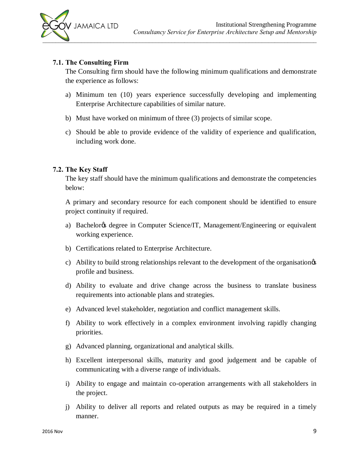

#### **7.1. The Consulting Firm**

The Consulting firm should have the following minimum qualifications and demonstrate the experience as follows:

- a) Minimum ten (10) years experience successfully developing and implementing Enterprise Architecture capabilities of similar nature.
- b) Must have worked on minimum of three (3) projects of similar scope.
- c) Should be able to provide evidence of the validity of experience and qualification, including work done.

#### **7.2. The Key Staff**

The key staff should have the minimum qualifications and demonstrate the competencies below:

A primary and secondary resource for each component should be identified to ensure project continuity if required.

- a) Bachelor & degree in Computer Science/IT, Management/Engineering or equivalent working experience.
- b) Certifications related to Enterprise Architecture.
- c) Ability to build strong relationships relevant to the development of the organisation  $\alpha$ profile and business.
- d) Ability to evaluate and drive change across the business to translate business requirements into actionable plans and strategies.
- e) Advanced level stakeholder, negotiation and conflict management skills.
- f) Ability to work effectively in a complex environment involving rapidly changing priorities.
- g) Advanced planning, organizational and analytical skills.
- h) Excellent interpersonal skills, maturity and good judgement and be capable of communicating with a diverse range of individuals.
- i) Ability to engage and maintain co-operation arrangements with all stakeholders in the project.
- j) Ability to deliver all reports and related outputs as may be required in a timely manner.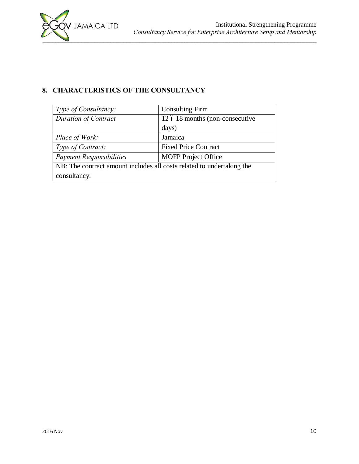

# **8. CHARACTERISTICS OF THE CONSULTANCY**

| Type of Consultancy:                                                  | <b>Consulting Firm</b>          |  |  |  |
|-----------------------------------------------------------------------|---------------------------------|--|--|--|
| <b>Duration of Contract</b>                                           | 12 ó 18 months (non-consecutive |  |  |  |
|                                                                       | days)                           |  |  |  |
| Place of Work:                                                        | Jamaica                         |  |  |  |
| Type of Contract:                                                     | <b>Fixed Price Contract</b>     |  |  |  |
| <b>Payment Responsibilities</b>                                       | <b>MOFP</b> Project Office      |  |  |  |
| NB: The contract amount includes all costs related to undertaking the |                                 |  |  |  |
| consultancy.                                                          |                                 |  |  |  |